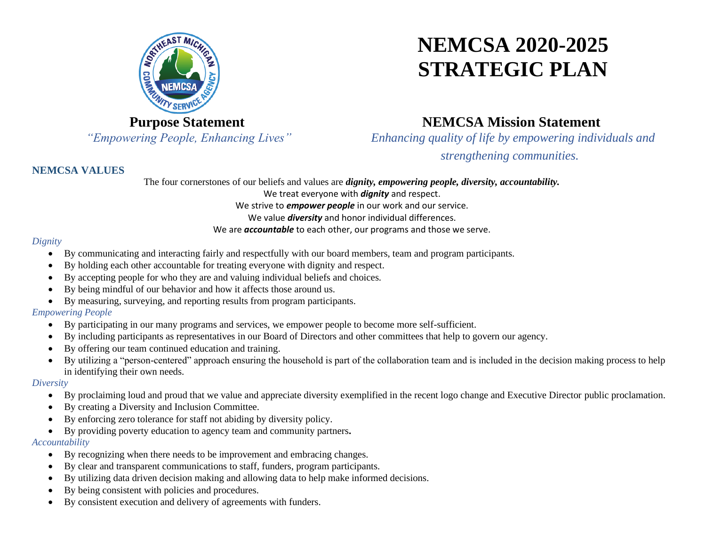

# **NEMCSA 2020-2025 STRATEGIC PLAN**

### **Purpose Statement**

*"Empowering People, Enhancing Lives"*

### **NEMCSA Mission Statement**

*Enhancing quality of life by empowering individuals and* 

*strengthening communities.*

### **NEMCSA VALUES**

The four cornerstones of our beliefs and values are *dignity, empowering people, diversity, accountability.* We treat everyone with *dignity* and respect. We strive to *empower people* in our work and our service. We value *diversity* and honor individual differences. We are *accountable* to each other, our programs and those we serve.

### *Dignity*

- By communicating and interacting fairly and respectfully with our board members, team and program participants.
- By holding each other accountable for treating everyone with dignity and respect.
- By accepting people for who they are and valuing individual beliefs and choices.
- By being mindful of our behavior and how it affects those around us.
- By measuring, surveying, and reporting results from program participants.

### *Empowering People*

- By participating in our many programs and services, we empower people to become more self-sufficient.
- By including participants as representatives in our Board of Directors and other committees that help to govern our agency.
- By offering our team continued education and training.
- By utilizing a "person-centered" approach ensuring the household is part of the collaboration team and is included in the decision making process to help in identifying their own needs.

### *Diversity*

- By proclaiming loud and proud that we value and appreciate diversity exemplified in the recent logo change and Executive Director public proclamation.
- By creating a Diversity and Inclusion Committee.
- By enforcing zero tolerance for staff not abiding by diversity policy.
- By providing poverty education to agency team and community partners**.**

#### *Accountability*

- By recognizing when there needs to be improvement and embracing changes.
- By clear and transparent communications to staff, funders, program participants.
- By utilizing data driven decision making and allowing data to help make informed decisions.
- By being consistent with policies and procedures.
- By consistent execution and delivery of agreements with funders.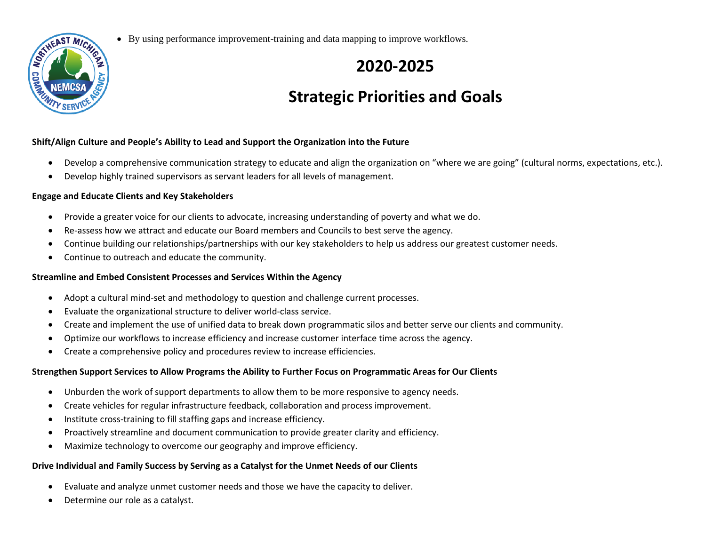

• By using performance improvement-training and data mapping to improve workflows.

### **2020-2025**

## **Strategic Priorities and Goals**

#### **Shift/Align Culture and People's Ability to Lead and Support the Organization into the Future**

- Develop a comprehensive communication strategy to educate and align the organization on "where we are going" (cultural norms, expectations, etc.).
- Develop highly trained supervisors as servant leaders for all levels of management.

### **Engage and Educate Clients and Key Stakeholders**

- Provide a greater voice for our clients to advocate, increasing understanding of poverty and what we do.
- Re-assess how we attract and educate our Board members and Councils to best serve the agency.
- Continue building our relationships/partnerships with our key stakeholders to help us address our greatest customer needs.
- Continue to outreach and educate the community.

### **Streamline and Embed Consistent Processes and Services Within the Agency**

- Adopt a cultural mind-set and methodology to question and challenge current processes.
- Evaluate the organizational structure to deliver world-class service.
- Create and implement the use of unified data to break down programmatic silos and better serve our clients and community.
- Optimize our workflows to increase efficiency and increase customer interface time across the agency.
- Create a comprehensive policy and procedures review to increase efficiencies.

### **Strengthen Support Services to Allow Programs the Ability to Further Focus on Programmatic Areas for Our Clients**

- Unburden the work of support departments to allow them to be more responsive to agency needs.
- Create vehicles for regular infrastructure feedback, collaboration and process improvement.
- Institute cross-training to fill staffing gaps and increase efficiency.
- Proactively streamline and document communication to provide greater clarity and efficiency.
- Maximize technology to overcome our geography and improve efficiency.

### **Drive Individual and Family Success by Serving as a Catalyst for the Unmet Needs of our Clients**

- Evaluate and analyze unmet customer needs and those we have the capacity to deliver.
- Determine our role as a catalyst.